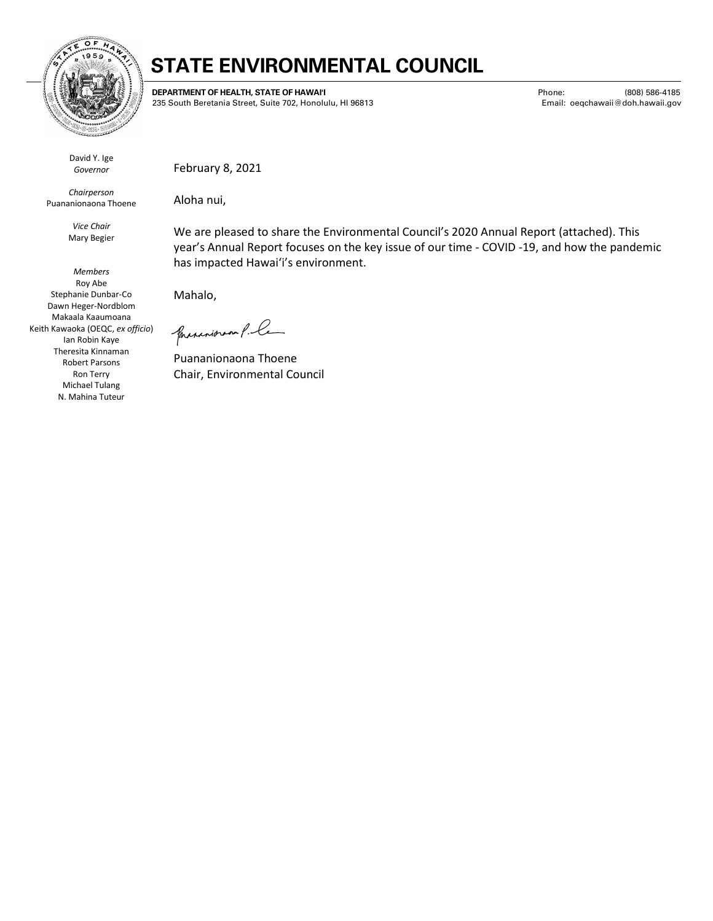

## **STATE ENVIRONMENTAL COUNCIL**

**DEPARTMENT OF HEALTH, STATE OF HAWAIʻI** 235 South Beretania Street, Suite 702, Honolulu, HI 96813 Phone: (808) 586-4185 Email: oeqchawaii@doh.hawaii.gov

David Y. Ige *Governor*

*Chairperson* Puananionaona Thoene

> *Vice Chair* Mary Begier

*Members* Roy Abe Stephanie Dunbar-Co Dawn Heger-Nordblom Makaala Kaaumoana Keith Kawaoka (OEQC, *ex officio*) Ian Robin Kaye Theresita Kinnaman Robert Parsons Ron Terry Michael Tulang N. Mahina Tuteur

February 8, 2021

Aloha nui,

We are pleased to share the Environmental Council's 2020 Annual Report (attached). This year's Annual Report focuses on the key issue of our time - COVID -19, and how the pandemic has impacted Hawaiʻi's environment.

Mahalo,

presentation P. Ce

Puananionaona Thoene Chair, Environmental Council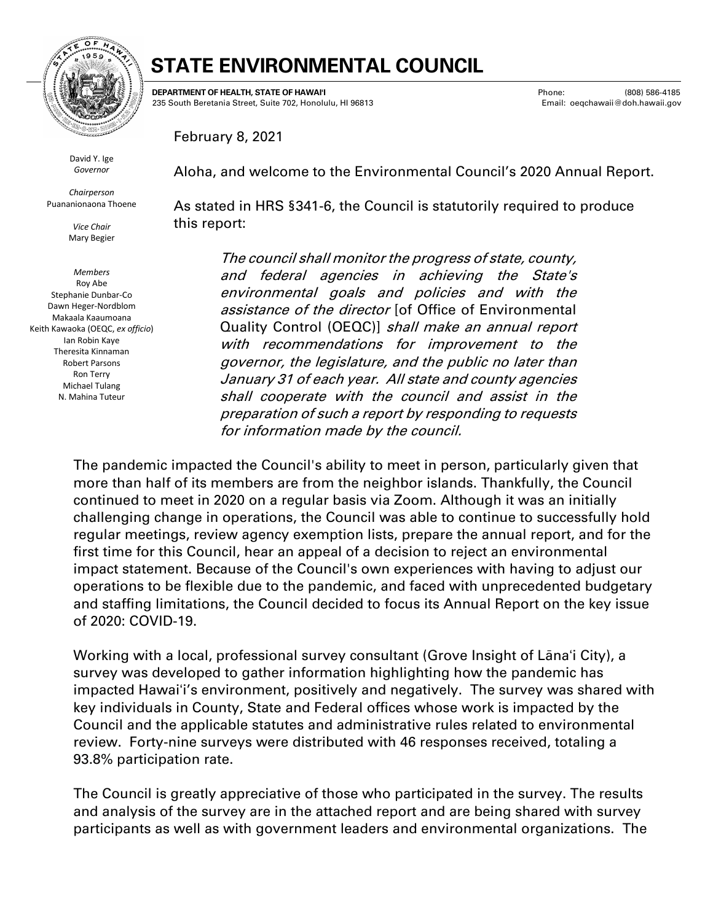

### **STATE ENVIRONMENTAL COUNCIL**

**DEPARTMENT OF HEALTH, STATE OF HAWAIʻI** 235 South Beretania Street, Suite 702, Honolulu, HI 96813 Phone: (808) 586-4185 Email: oeqchawaii@doh.hawaii.gov

February 8, 2021

David Y. Ige *Governor*

*Chairperson* Puananionaona Thoene

> *Vice Chair* Mary Begier

*Members* Roy Abe Stephanie Dunbar-Co Dawn Heger-Nordblom Makaala Kaaumoana Keith Kawaoka (OEQC, *ex officio*) Ian Robin Kaye Theresita Kinnaman Robert Parsons Ron Terry Michael Tulang N. Mahina Tuteur

Aloha, and welcome to the Environmental Council's 2020 Annual Report.

As stated in HRS §341-6, the Council is statutorily required to produce this report:

The council shall monitor the progress of state, county, and federal agencies in achieving the State's environmental goals and policies and with the assistance of the director [of Office of Environmental Quality Control (OEQC)] shall make an annual report with recommendations for improvement to the governor, the legislature, and the public no later than January 31 of each year. All state and county agencies shall cooperate with the council and assist in the preparation of such a report by responding to requests for information made by the council.

The pandemic impacted the Council's ability to meet in person, particularly given that more than half of its members are from the neighbor islands. Thankfully, the Council continued to meet in 2020 on a regular basis via Zoom. Although it was an initially challenging change in operations, the Council was able to continue to successfully hold regular meetings, review agency exemption lists, prepare the annual report, and for the first time for this Council, hear an appeal of a decision to reject an environmental impact statement. Because of the Council's own experiences with having to adjust our operations to be flexible due to the pandemic, and faced with unprecedented budgetary and staffing limitations, the Council decided to focus its Annual Report on the key issue of 2020: COVID-19.

Working with a local, professional survey consultant (Grove Insight of Lānaʻi City), a survey was developed to gather information highlighting how the pandemic has impacted Hawaiʻi's environment, positively and negatively. The survey was shared with key individuals in County, State and Federal offices whose work is impacted by the Council and the applicable statutes and administrative rules related to environmental review. Forty-nine surveys were distributed with 46 responses received, totaling a 93.8% participation rate.

The Council is greatly appreciative of those who participated in the survey. The results and analysis of the survey are in the attached report and are being shared with survey participants as well as with government leaders and environmental organizations. The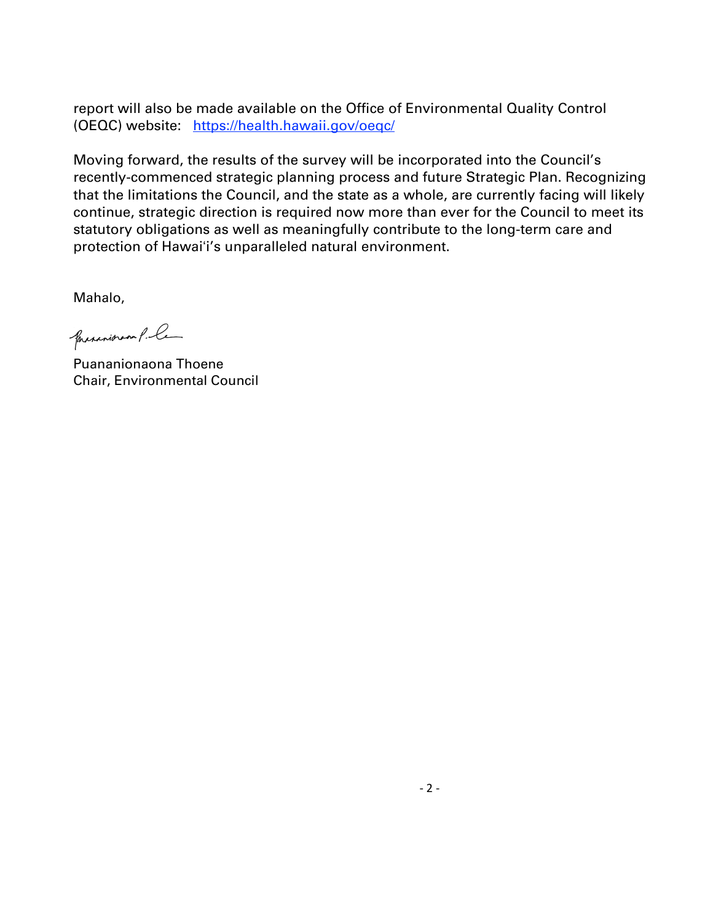report will also be made available on the Office of Environmental Quality Control (OEQC) website: <https://health.hawaii.gov/oeqc/>

Moving forward, the results of the survey will be incorporated into the Council's recently-commenced strategic planning process and future Strategic Plan. Recognizing that the limitations the Council, and the state as a whole, are currently facing will likely continue, strategic direction is required now more than ever for the Council to meet its statutory obligations as well as meaningfully contribute to the long-term care and protection of Hawaiʻi's unparalleled natural environment.

Mahalo,

presentation P. Ce

Puananionaona Thoene Chair, Environmental Council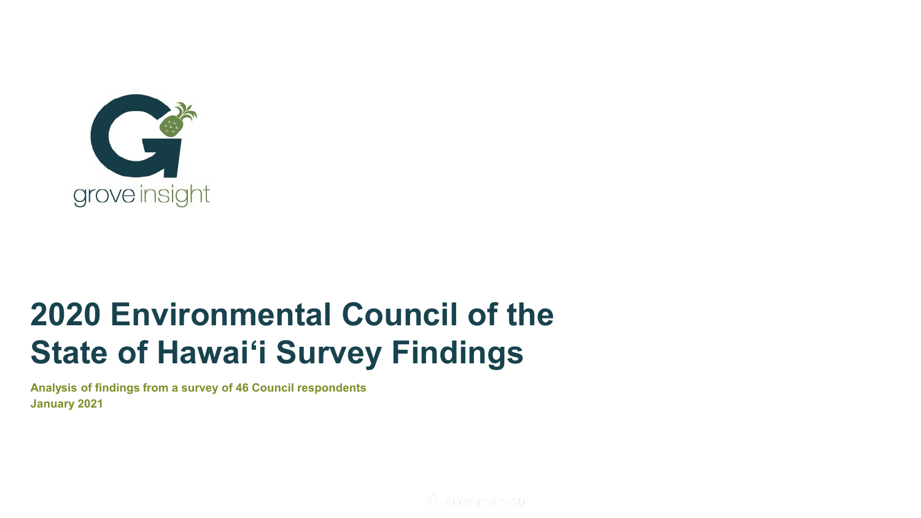

# **2020 Environmental Council of the State of Hawai'i Survey Findings**

**Analysis of findings from a survey of 46 Council respondents January 2021**

**A** SurveyMonkey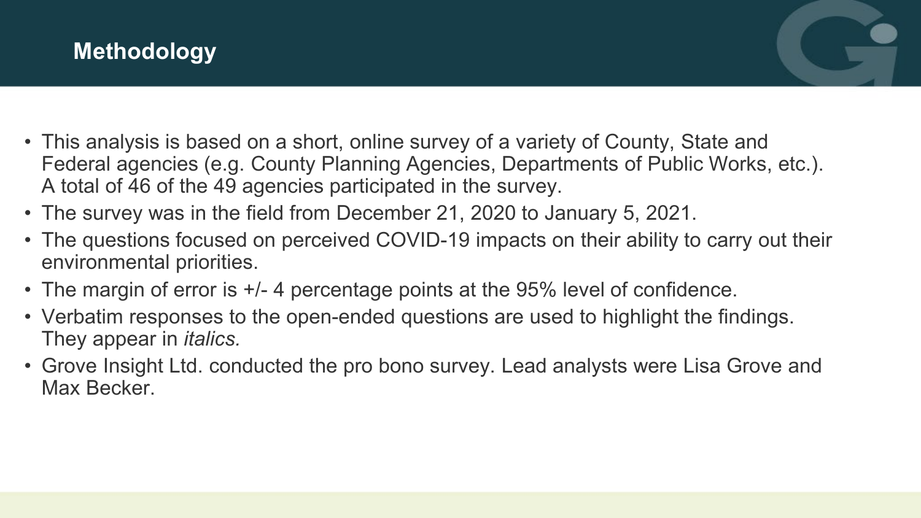

- This analysis is based on a short, online survey of a variety of County, State and Federal agencies (e.g. County Planning Agencies, Departments of Public Works, etc.). A total of 46 of the 49 agencies participated in the survey.
- The survey was in the field from December 21, 2020 to January 5, 2021.
- The questions focused on perceived COVID-19 impacts on their ability to carry out their environmental priorities.
- The margin of error is +/- 4 percentage points at the 95% level of confidence.
- Verbatim responses to the open-ended questions are used to highlight the findings. They appear in *italics.*
- Grove Insight Ltd. conducted the pro bono survey. Lead analysts were Lisa Grove and Max Becker.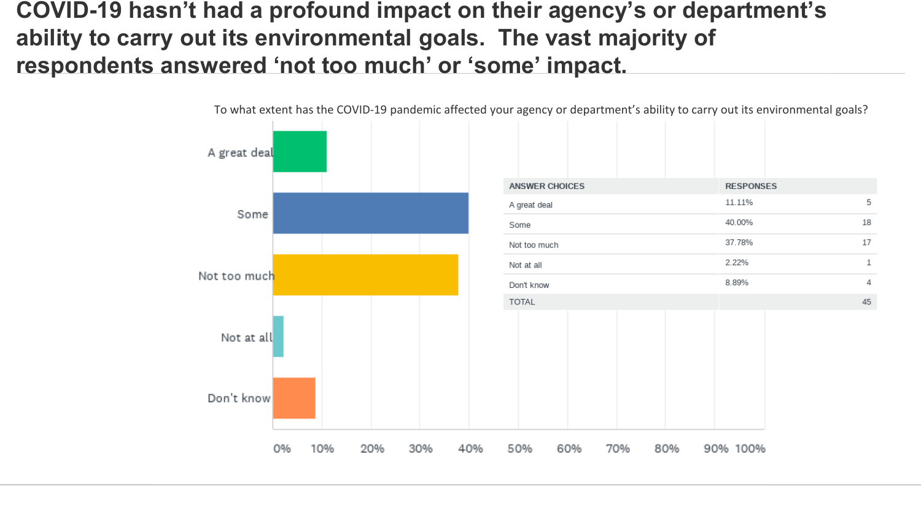**COVID-19 hasn't had a profound impact on their agency's or department's ability to carry out its environmental goals. The vast majority of respondents answered 'not too much' or 'some' impact.**



To what extent has the COVID-19 pandemic affected your agency or department's ability to carry out its environmental goals?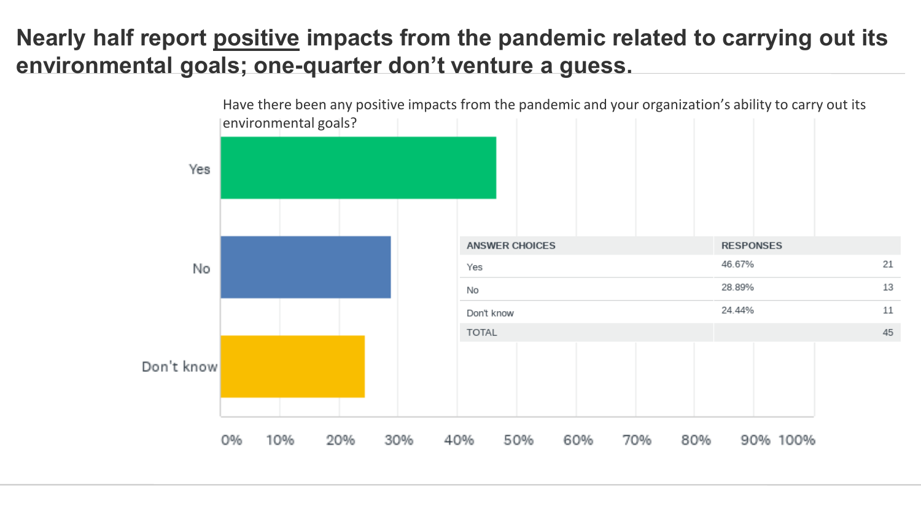#### **Nearly half report positive impacts from the pandemic related to carrying out its environmental goals; one-quarter don't venture a guess.**

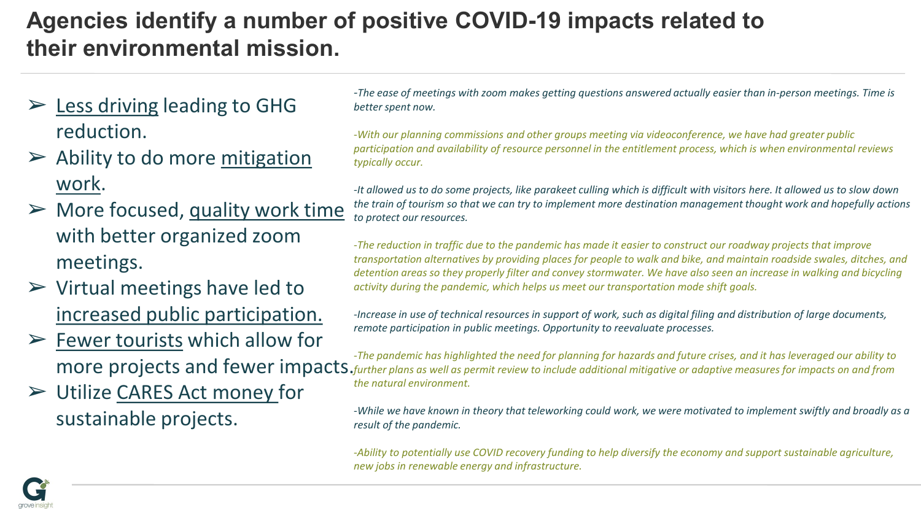## **Agencies identify a number of positive COVID-19 impacts related to their environmental mission.**

- $\triangleright$  Less driving leading to GHG reduction.
- $\triangleright$  Ability to do more mitigation work.
- $\triangleright$  More focused, quality work time with better organized zoom meetings.
- $\triangleright$  Virtual meetings have led to increased public participation.
- $\triangleright$  Fewer tourists which allow for
- ➢ Utilize CARES Act money for sustainable projects.

*-The ease of meetings with zoom makes getting questions answered actually easier than in-person meetings. Time is better spent now.* 

*-With our planning commissions and other groups meeting via videoconference, we have had greater public participation and availability of resource personnel in the entitlement process, which is when environmental reviews typically occur.*

• The reasons for the uprising are getting lost. Get *-It allowed us to do some projects, like parakeet culling which is difficult with visitors here. It allowed us to slow down*  attention back to the issues by emphasizing the *the train of tourism so that we can try to implement more destination management thought work and hopefully actions to protect our resources.*

progress that's happening and highlighting specific *-The reduction in traffic due to the pandemic has made it easier to construct our roadway projects that improve*  solutions. *detention areas so they properly filter and convey stormwater. We have also seen an increase in walking and bicycling*  activity during the pandemic, which helps us meet our transportation mode shift goals.<br>. *transportation alternatives by providing places for people to walk and bike, and maintain roadside swales, ditches, and* 

remote participation in public meetings. Opportunity to reevaluate processes. *-Increase in use of technical resources in support of work, such as digital filing and distribution of large documents,* 

*-The pandemic has highlighted the need for planning for hazards and future crises, and it has leveraged our ability to*  $\alpha$  and  $\alpha$  is linear to the control norm of  $\alpha$  is linear whose  $\alpha$  is linear whose  $\alpha$  is a leader whose  $\alpha$ more projects and fewer impacts. *further plans as well as permit review to include additional mitigative or adaptive measures for impacts on and from the natural environment.*

> -While we have known in theory that teleworking could work, we were motivated to implement swiftly and broadly as a<br>result of the nandemic *result of the pandemic.*

*-Ability to potentially use COVID recovery funding to help diversify the economy and support sustainable agriculture, new jobs in renewable energy and infrastructure.*

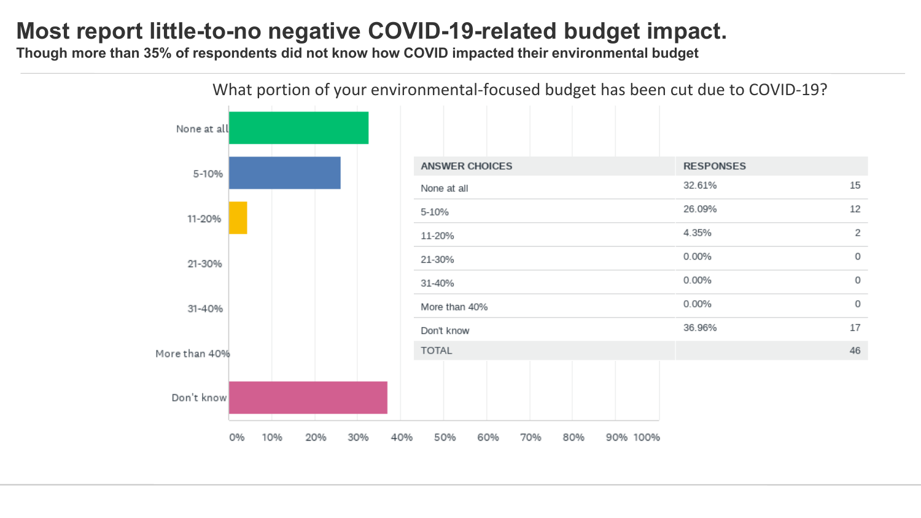#### **Most report little-to-no negative COVID-19-related budget impact.**

**Though more than 35% of respondents did not know how COVID impacted their environmental budget**

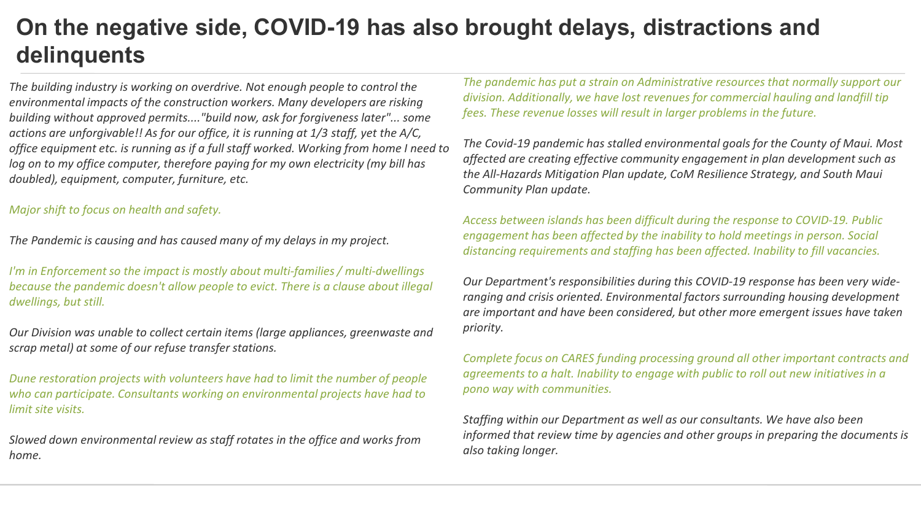#### **On the negative side, COVID-19 has also brought delays, distractions and delinquents**

*The building industry is working on overdrive. Not enough people to control the environmental impacts of the construction workers. Many developers are risking building without approved permits...."build now, ask for forgiveness later"... some actions are unforgivable!! As for our office, it is running at 1/3 staff, yet the A/C, office equipment etc. is running as if a full staff worked. Working from home I need to log on to my office computer, therefore paying for my own electricity (my bill has doubled), equipment, computer, furniture, etc.*

#### *Major shift to focus on health and safety.*

*The Pandemic is causing and has caused many of my delays in my project.*

*I'm in Enforcement so the impact is mostly about multi-families / multi-dwellings because the pandemic doesn't allow people to evict. There is a clause about illegal dwellings, but still.*

*Our Division was unable to collect certain items (large appliances, greenwaste and scrap metal) at some of our refuse transfer stations.*

*Dune restoration projects with volunteers have had to limit the number of people who can participate. Consultants working on environmental projects have had to limit site visits.*

*Slowed down environmental review as staff rotates in the office and works from home.*

*The pandemic has put a strain on Administrative resources that normally support our division. Additionally, we have lost revenues for commercial hauling and landfill tip fees. These revenue losses will result in larger problems in the future.*

*The Covid-19 pandemic has stalled environmental goals for the County of Maui. Most affected are creating effective community engagement in plan development such as the All-Hazards Mitigation Plan update, CoM Resilience Strategy, and South Maui Community Plan update.*

*Access between islands has been difficult during the response to COVID-19. Public engagement has been affected by the inability to hold meetings in person. Social distancing requirements and staffing has been affected. Inability to fill vacancies.*

*Our Department's responsibilities during this COVID-19 response has been very wideranging and crisis oriented. Environmental factors surrounding housing development are important and have been considered, but other more emergent issues have taken priority.*

*Complete focus on CARES funding processing ground all other important contracts and agreements to a halt. Inability to engage with public to roll out new initiatives in a pono way with communities.*

*Staffing within our Department as well as our consultants. We have also been informed that review time by agencies and other groups in preparing the documents is also taking longer.*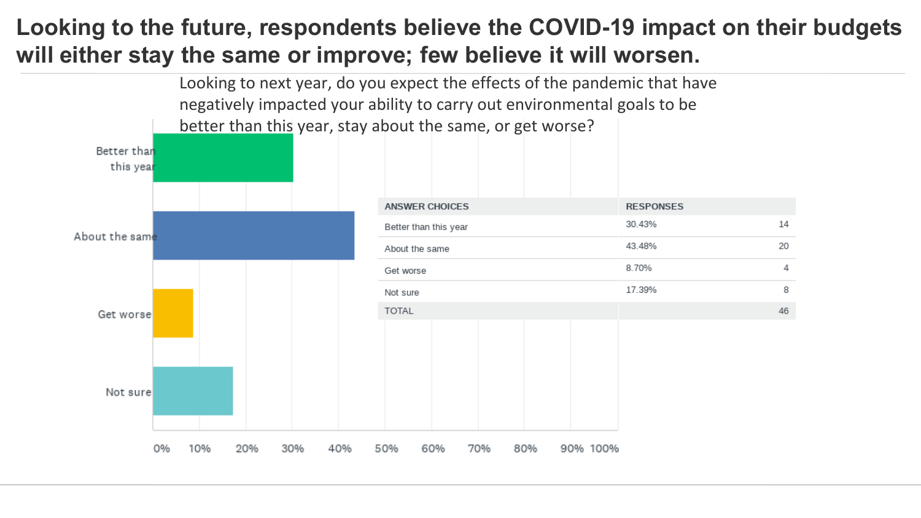#### **Looking to the future, respondents believe the COVID-19 impact on their budgets will either stay the same or improve; few believe it will worsen.**

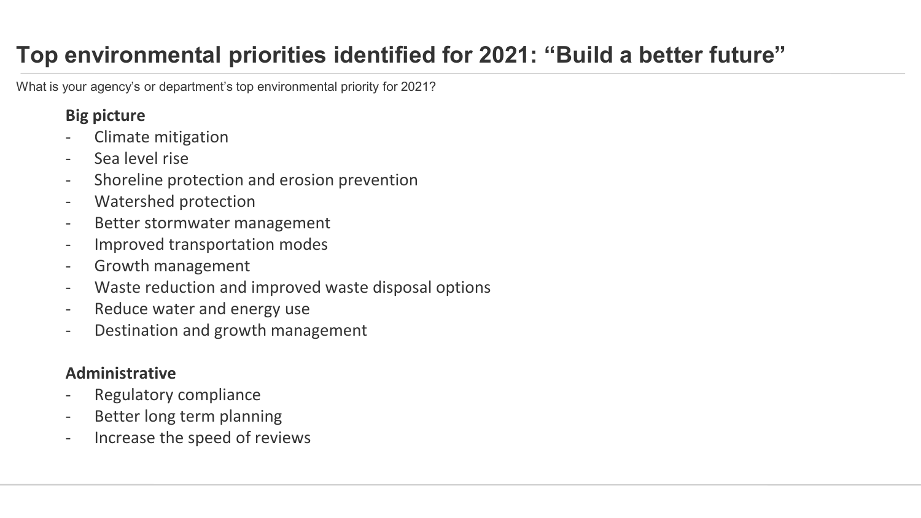# **Top environmental priorities identified for 2021: "Build a better future"**

What is your agency's or department's top environmental priority for 2021?

#### **Big picture**

- Climate mitigation
- Sea level rise
- Shoreline protection and erosion prevention
- Watershed protection
- Better stormwater management
- Improved transportation modes
- Growth management
- Waste reduction and improved waste disposal options
- Reduce water and energy use
- Destination and growth management

#### **Administrative**

- Regulatory compliance
- Better long term planning
- Increase the speed of reviews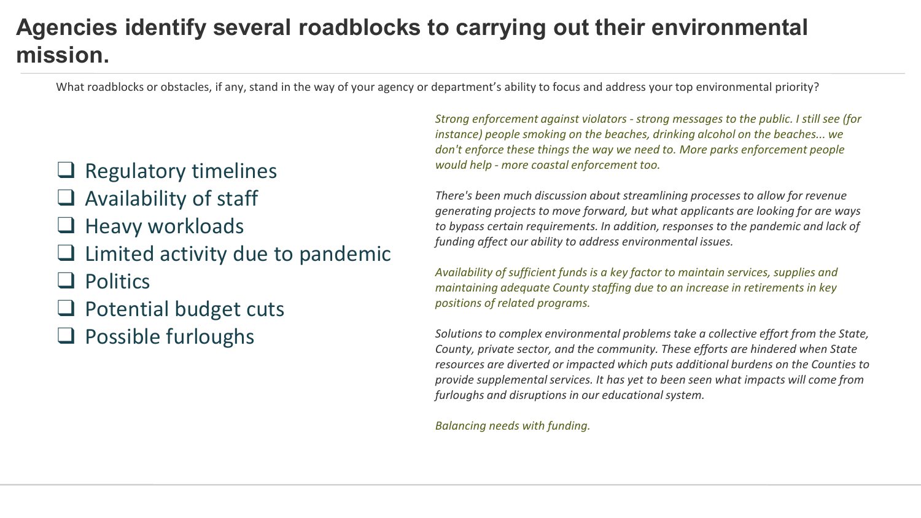### **Agencies identify several roadblocks to carrying out their environmental mission.**

What roadblocks or obstacles, if any, stand in the way of your agency or department's ability to focus and address your top environmental priority?

#### ❑ Regulatory timelines

- $\Box$  Availability of staff
- ❑ Heavy workloads
- $\Box$  Limited activity due to pandemic
- ❑ Politics
- ❑ Potential budget cuts
- ❑ Possible furloughs

*Strong enforcement against violators - strong messages to the public. I still see (for instance) people smoking on the beaches, drinking alcohol on the beaches... we don't enforce these things the way we need to. More parks enforcement people would help - more coastal enforcement too.* 

*There's been much discussion about streamlining processes to allow for revenue generating projects to move forward, but what applicants are looking for are ways to bypass certain requirements. In addition, responses to the pandemic and lack of funding affect our ability to address environmental issues.*

*Availability of sufficient funds is a key factor to maintain services, supplies and maintaining adequate County staffing due to an increase in retirements in key positions of related programs.*

*Solutions to complex environmental problems take a collective effort from the State, County, private sector, and the community. These efforts are hindered when State resources are diverted or impacted which puts additional burdens on the Counties to provide supplemental services. It has yet to been seen what impacts will come from furloughs and disruptions in our educational system.*

*Balancing needs with funding.*